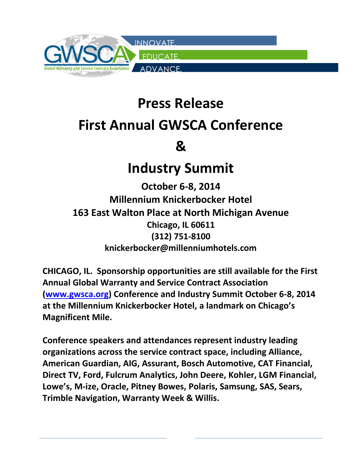

## **Press Release First Annual GWSCA Conference**

## **&**

## **Industry Summit**

**October 6-8, 2014 Millennium Knickerbocker Hotel 163 East Walton Place at North Michigan Avenue Chicago, IL 60611 (312) 751-8100 knickerbocker@millenniumhotels.com**

**CHICAGO, IL. Sponsorship opportunities are still available for the First Annual Global Warranty and Service Contract Association [\(www.gwsca.org\)](http://www.gwsca.org/) Conference and Industry Summit October 6-8, 2014 at the Millennium Knickerbocker Hotel, a landmark on Chicago's Magnificent Mile.** 

**Conference speakers and attendances represent industry leading organizations across the service contract space, including Alliance, American Guardian, AIG, Assurant, Bosch Automotive, CAT Financial, Direct TV, Ford, Fulcrum Analytics, John Deere, Kohler, LGM Financial, Lowe's, M-ize, Oracle, Pitney Bowes, Polaris, Samsung, SAS, Sears, Trimble Navigation, Warranty Week & Willis.**